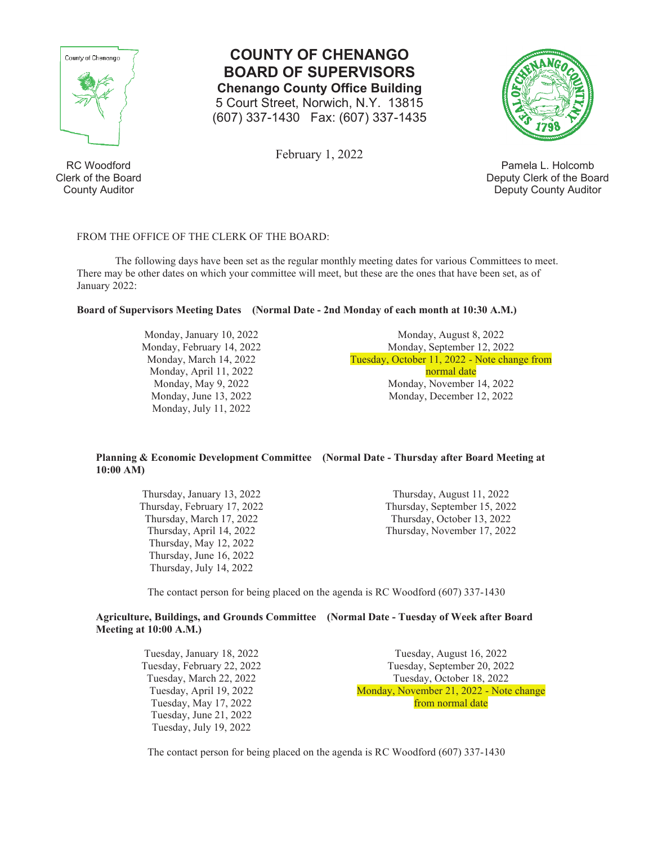

**COUNTY OF CHENANGO BOARD OF SUPERVISORS Chenango County Office Building**  5 Court Street, Norwich, N.Y. 13815 (607) 337-1430 Fax: (607) 337-1435

February 1, 2022

Pamela L. Holcomb Deputy Clerk of the Board Deputy County Auditor

# FROM THE OFFICE OF THE CLERK OF THE BOARD:

The following days have been set as the regular monthly meeting dates for various Committees to meet. There may be other dates on which your committee will meet, but these are the ones that have been set, as of January 2022:

## **Board of Supervisors Meeting Dates (Normal Date - 2nd Monday of each month at 10:30 A.M.)**

Monday, January 10, 2022 Monday, February 14, 2022 Monday, March 14, 2022 Monday, April 11, 2022 Monday, May 9, 2022 Monday, June 13, 2022 Monday, July 11, 2022

Monday, August 8, 2022 Monday, September 12, 2022 Tuesday, October 11, 2022 - Note change from normal date Monday, November 14, 2022 Monday, December 12, 2022

### **Planning & Economic Development Committee (Normal Date - Thursday after Board Meeting at 10:00 AM)**

Thursday, January 13, 2022 Thursday, February 17, 2022 Thursday, March 17, 2022 Thursday, April 14, 2022 Thursday, May 12, 2022 Thursday, June 16, 2022 Thursday, July 14, 2022

Thursday, August 11, 2022 Thursday, September 15, 2022 Thursday, October 13, 2022 Thursday, November 17, 2022

The contact person for being placed on the agenda is RC Woodford (607) 337-1430

# **Agriculture, Buildings, and Grounds Committee (Normal Date - Tuesday of Week after Board Meeting at 10:00 A.M.)**

Tuesday, January 18, 2022 Tuesday, February 22, 2022 Tuesday, March 22, 2022 Tuesday, April 19, 2022 Tuesday, May 17, 2022 Tuesday, June 21, 2022 Tuesday, July 19, 2022

Tuesday, August 16, 2022 Tuesday, September 20, 2022 Tuesday, October 18, 2022 Monday, November 21, 2022 - Note change from normal date

The contact person for being placed on the agenda is RC Woodford (607) 337-1430